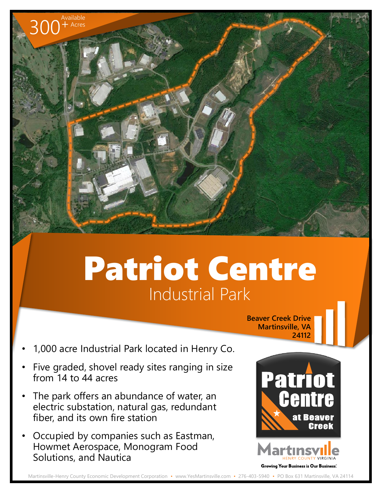## Patriot Centre Industrial Park

**Beaver Creek Drive Martinsville, VA 24112**

• 1,000 acre Industrial Park located in Henry Co.

300<sup>+</sup>

Available  $+$  Acres

- Five graded, shovel ready sites ranging in size from 14 to 44 acres
- The park offers an abundance of water, an electric substation, natural gas, redundant fiber, and its own fire station
- Occupied by companies such as Eastman, Howmet Aerospace, Monogram Food Solutions, and Nautica